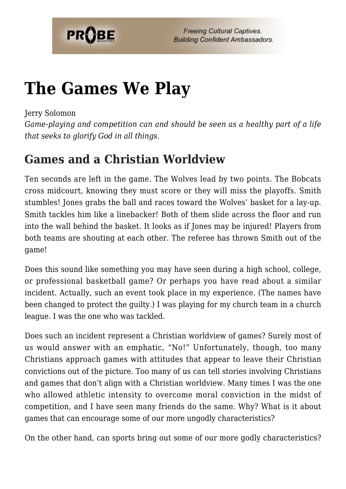

# **[The Games We Play](https://probe.org/the-games-we-play/)**

Jerry Solomon

*Game-playing and competition can and should be seen as a healthy part of a life that seeks to glorify God in all things.*

# **Games and a Christian Worldview**

Ten seconds are left in the game. The Wolves lead by two points. The Bobcats cross midcourt, knowing they must score or they will miss the playoffs. Smith stumbles! Jones grabs the ball and races toward the Wolves' basket for a lay-up. Smith tackles him like a linebacker! Both of them slide across the floor and run into the wall behind the basket. It looks as if Jones may be injured! Players from both teams are shouting at each other. The referee has thrown Smith out of the game!

Does this sound like something you may have seen during a high school, college, or professional basketball game? Or perhaps you have read about a similar incident. Actually, such an event took place in my experience. (The names have been changed to protect the guilty.) I was playing for my church team in a church league. I was the one who was tackled.

Does such an incident represent a Christian worldview of games? Surely most of us would answer with an emphatic, "No!" Unfortunately, though, too many Christians approach games with attitudes that appear to leave their Christian convictions out of the picture. Too many of us can tell stories involving Christians and games that don't align with a Christian worldview. Many times I was the one who allowed athletic intensity to overcome moral conviction in the midst of competition, and I have seen many friends do the same. Why? What is it about games that can encourage some of our more ungodly characteristics?

On the other hand, can sports bring out some of our more godly characteristics?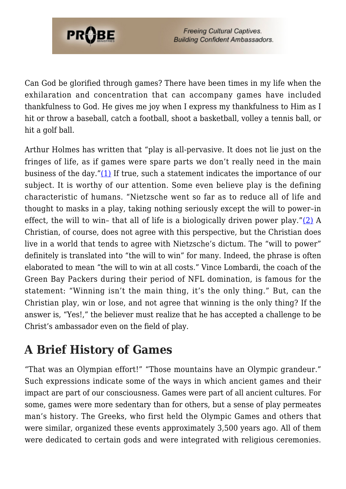

Can God be glorified through games? There have been times in my life when the exhilaration and concentration that can accompany games have included thankfulness to God. He gives me joy when I express my thankfulness to Him as I hit or throw a baseball, catch a football, shoot a basketball, volley a tennis ball, or hit a golf ball.

Arthur Holmes has written that "play is all-pervasive. It does not lie just on the fringes of life, as if games were spare parts we don't really need in the main business of the day."[\(1\)](#page-8-0) If true, such a statement indicates the importance of our subject. It is worthy of our attention. Some even believe play is the defining characteristic of humans. "Nietzsche went so far as to reduce all of life and thought to masks in a play, taking nothing seriously except the will to power–in effect, the will to win– that all of life is a biologically driven power play."[\(2\)](#page-8-1) A Christian, of course, does not agree with this perspective, but the Christian does live in a world that tends to agree with Nietzsche's dictum. The "will to power" definitely is translated into "the will to win" for many. Indeed, the phrase is often elaborated to mean "the will to win at all costs." Vince Lombardi, the coach of the Green Bay Packers during their period of NFL domination, is famous for the statement: "Winning isn't the main thing, it's the only thing." But, can the Christian play, win or lose, and not agree that winning is the only thing? If the answer is, "Yes!," the believer must realize that he has accepted a challenge to be Christ's ambassador even on the field of play.

## **A Brief History of Games**

"That was an Olympian effort!" "Those mountains have an Olympic grandeur." Such expressions indicate some of the ways in which ancient games and their impact are part of our consciousness. Games were part of all ancient cultures. For some, games were more sedentary than for others, but a sense of play permeates man's history. The Greeks, who first held the Olympic Games and others that were similar, organized these events approximately 3,500 years ago. All of them were dedicated to certain gods and were integrated with religious ceremonies.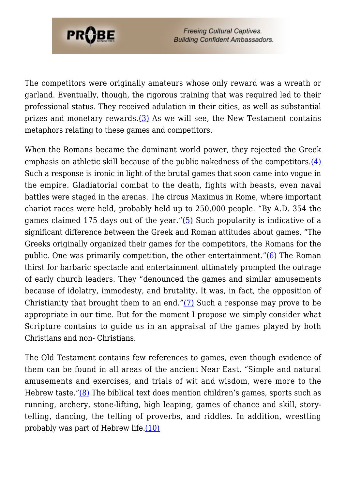

The competitors were originally amateurs whose only reward was a wreath or garland. Eventually, though, the rigorous training that was required led to their professional status. They received adulation in their cities, as well as substantial prizes and monetary rewards. $(3)$  As we will see, the New Testament contains metaphors relating to these games and competitors.

When the Romans became the dominant world power, they rejected the Greek emphasis on athletic skill because of the public nakedness of the competitors[.\(4\)](#page-8-3) Such a response is ironic in light of the brutal games that soon came into vogue in the empire. Gladiatorial combat to the death, fights with beasts, even naval battles were staged in the arenas. The circus Maximus in Rome, where important chariot races were held, probably held up to 250,000 people. "By A.D. 354 the games claimed 175 days out of the year."[\(5\)](#page-8-4) Such popularity is indicative of a significant difference between the Greek and Roman attitudes about games. "The Greeks originally organized their games for the competitors, the Romans for the public. One was primarily competition, the other entertainment."[\(6\)](#page-8-5) The Roman thirst for barbaric spectacle and entertainment ultimately prompted the outrage of early church leaders. They "denounced the games and similar amusements because of idolatry, immodesty, and brutality. It was, in fact, the opposition of Christianity that brought them to an end." $(7)$  Such a response may prove to be appropriate in our time. But for the moment I propose we simply consider what Scripture contains to guide us in an appraisal of the games played by both Christians and non- Christians.

The Old Testament contains few references to games, even though evidence of them can be found in all areas of the ancient Near East. "Simple and natural amusements and exercises, and trials of wit and wisdom, were more to the Hebrew taste." $(8)$  The biblical text does mention children's games, sports such as running, archery, stone-lifting, high leaping, games of chance and skill, storytelling, dancing, the telling of proverbs, and riddles. In addition, wrestling probably was part of Hebrew life.[\(10\)](#page-8-8)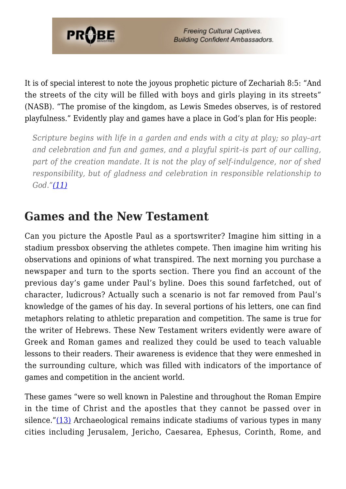

It is of special interest to note the joyous prophetic picture of Zechariah 8:5: "And the streets of the city will be filled with boys and girls playing in its streets" (NASB). "The promise of the kingdom, as Lewis Smedes observes, is of restored playfulness." Evidently play and games have a place in God's plan for His people:

*Scripture begins with life in a garden and ends with a city at play; so play–art and celebration and fun and games, and a playful spirit–is part of our calling, part of the creation mandate. It is not the play of self-indulgence, nor of shed responsibility, but of gladness and celebration in responsible relationship to God."[\(11\)](#page-8-9)*

#### **Games and the New Testament**

Can you picture the Apostle Paul as a sportswriter? Imagine him sitting in a stadium pressbox observing the athletes compete. Then imagine him writing his observations and opinions of what transpired. The next morning you purchase a newspaper and turn to the sports section. There you find an account of the previous day's game under Paul's byline. Does this sound farfetched, out of character, ludicrous? Actually such a scenario is not far removed from Paul's knowledge of the games of his day. In several portions of his letters, one can find metaphors relating to athletic preparation and competition. The same is true for the writer of Hebrews. These New Testament writers evidently were aware of Greek and Roman games and realized they could be used to teach valuable lessons to their readers. Their awareness is evidence that they were enmeshed in the surrounding culture, which was filled with indicators of the importance of games and competition in the ancient world.

These games "were so well known in Palestine and throughout the Roman Empire in the time of Christ and the apostles that they cannot be passed over in silence." $(13)$  Archaeological remains indicate stadiums of various types in many cities including Jerusalem, Jericho, Caesarea, Ephesus, Corinth, Rome, and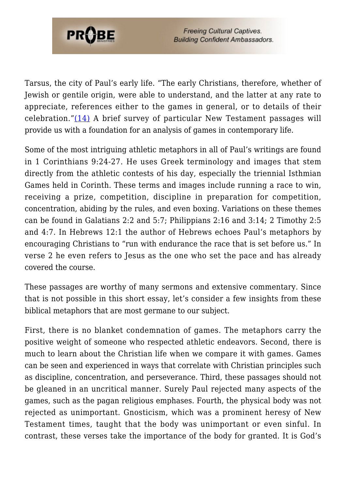

Tarsus, the city of Paul's early life. "The early Christians, therefore, whether of Jewish or gentile origin, were able to understand, and the latter at any rate to appreciate, references either to the games in general, or to details of their celebration."[\(14\)](#page-8-11) A brief survey of particular New Testament passages will provide us with a foundation for an analysis of games in contemporary life.

Some of the most intriguing athletic metaphors in all of Paul's writings are found in 1 Corinthians 9:24-27. He uses Greek terminology and images that stem directly from the athletic contests of his day, especially the triennial Isthmian Games held in Corinth. These terms and images include running a race to win, receiving a prize, competition, discipline in preparation for competition, concentration, abiding by the rules, and even boxing. Variations on these themes can be found in Galatians 2:2 and 5:7; Philippians 2:16 and 3:14; 2 Timothy 2:5 and 4:7. In Hebrews 12:1 the author of Hebrews echoes Paul's metaphors by encouraging Christians to "run with endurance the race that is set before us." In verse 2 he even refers to Jesus as the one who set the pace and has already covered the course.

These passages are worthy of many sermons and extensive commentary. Since that is not possible in this short essay, let's consider a few insights from these biblical metaphors that are most germane to our subject.

First, there is no blanket condemnation of games. The metaphors carry the positive weight of someone who respected athletic endeavors. Second, there is much to learn about the Christian life when we compare it with games. Games can be seen and experienced in ways that correlate with Christian principles such as discipline, concentration, and perseverance. Third, these passages should not be gleaned in an uncritical manner. Surely Paul rejected many aspects of the games, such as the pagan religious emphases. Fourth, the physical body was not rejected as unimportant. Gnosticism, which was a prominent heresy of New Testament times, taught that the body was unimportant or even sinful. In contrast, these verses take the importance of the body for granted. It is God's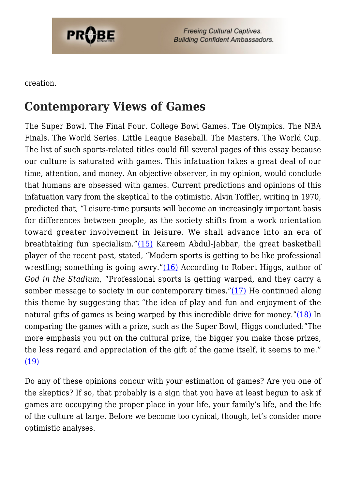

creation.

### **Contemporary Views of Games**

The Super Bowl. The Final Four. College Bowl Games. The Olympics. The NBA Finals. The World Series. Little League Baseball. The Masters. The World Cup. The list of such sports-related titles could fill several pages of this essay because our culture is saturated with games. This infatuation takes a great deal of our time, attention, and money. An objective observer, in my opinion, would conclude that humans are obsessed with games. Current predictions and opinions of this infatuation vary from the skeptical to the optimistic. Alvin Toffler, writing in 1970, predicted that, "Leisure-time pursuits will become an increasingly important basis for differences between people, as the society shifts from a work orientation toward greater involvement in leisure. We shall advance into an era of breathtaking fun specialism."[\(15\)](#page-9-0) Kareem Abdul-Jabbar, the great basketball player of the recent past, stated, "Modern sports is getting to be like professional wrestling; something is going awry." $(16)$  According to Robert Higgs, author of *God in the Stadium*, "Professional sports is getting warped, and they carry a somber message to society in our contemporary times.["\(17\)](#page-9-2) He continued along this theme by suggesting that "the idea of play and fun and enjoyment of the natural gifts of games is being warped by this incredible drive for money."[\(18\)](#page-9-3) In comparing the games with a prize, such as the Super Bowl, Higgs concluded:"The more emphasis you put on the cultural prize, the bigger you make those prizes, the less regard and appreciation of the gift of the game itself, it seems to me." [\(19\)](#page-9-4)

Do any of these opinions concur with your estimation of games? Are you one of the skeptics? If so, that probably is a sign that you have at least begun to ask if games are occupying the proper place in your life, your family's life, and the life of the culture at large. Before we become too cynical, though, let's consider more optimistic analyses.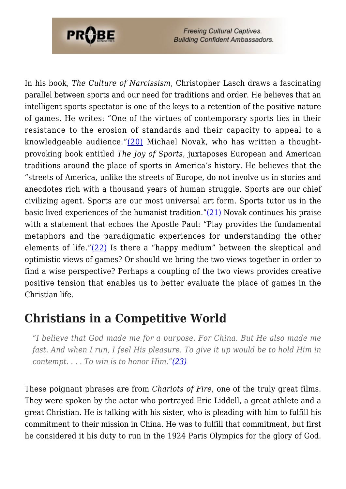

In his book, *The Culture of Narcissism*, Christopher Lasch draws a fascinating parallel between sports and our need for traditions and order. He believes that an intelligent sports spectator is one of the keys to a retention of the positive nature of games. He writes: "One of the virtues of contemporary sports lies in their resistance to the erosion of standards and their capacity to appeal to a knowledgeable audience." $(20)$  Michael Novak, who has written a thoughtprovoking book entitled *The Joy of Sports*, juxtaposes European and American traditions around the place of sports in America's history. He believes that the "streets of America, unlike the streets of Europe, do not involve us in stories and anecdotes rich with a thousand years of human struggle. Sports are our chief civilizing agent. Sports are our most universal art form. Sports tutor us in the basic lived experiences of the humanist tradition."[\(21\)](#page-9-6) Novak continues his praise with a statement that echoes the Apostle Paul: "Play provides the fundamental metaphors and the paradigmatic experiences for understanding the other elements of life."[\(22\)](#page-9-7) Is there a "happy medium" between the skeptical and optimistic views of games? Or should we bring the two views together in order to find a wise perspective? Perhaps a coupling of the two views provides creative positive tension that enables us to better evaluate the place of games in the Christian life.

### **Christians in a Competitive World**

*"I believe that God made me for a purpose. For China. But He also made me fast. And when I run, I feel His pleasure. To give it up would be to hold Him in contempt. . . . To win is to honor Him.["\(23\)](#page-9-8)*

These poignant phrases are from *Chariots of Fire*, one of the truly great films. They were spoken by the actor who portrayed Eric Liddell, a great athlete and a great Christian. He is talking with his sister, who is pleading with him to fulfill his commitment to their mission in China. He was to fulfill that commitment, but first he considered it his duty to run in the 1924 Paris Olympics for the glory of God.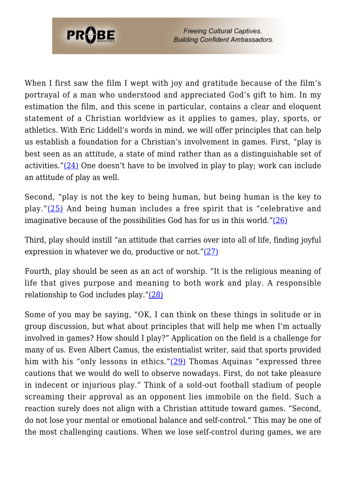

When I first saw the film I wept with joy and gratitude because of the film's portrayal of a man who understood and appreciated God's gift to him. In my estimation the film, and this scene in particular, contains a clear and eloquent statement of a Christian worldview as it applies to games, play, sports, or athletics. With Eric Liddell's words in mind, we will offer principles that can help us establish a foundation for a Christian's involvement in games. First, "play is best seen as an attitude, a state of mind rather than as a distinguishable set of activities." $(24)$  One doesn't have to be involved in play to play; work can include an attitude of play as well.

Second, "play is not the key to being human, but being human is the key to play."[\(25\)](#page-9-10) And being human includes a free spirit that is "celebrative and imaginative because of the possibilities God has for us in this world."[\(26\)](#page-9-11)

Third, play should instill "an attitude that carries over into all of life, finding joyful expression in whatever we do, productive or not."[\(27\)](#page-9-12)

Fourth, play should be seen as an act of worship. "It is the religious meaning of life that gives purpose and meaning to both work and play. A responsible relationship to God includes play."[\(28\)](#page-9-13)

Some of you may be saying, "OK, I can think on these things in solitude or in group discussion, but what about principles that will help me when I'm actually involved in games? How should I play?" Application on the field is a challenge for many of us. Even Albert Camus, the existentialist writer, said that sports provided him with his "only lessons in ethics."[\(29\)](#page-9-14) Thomas Aquinas "expressed three cautions that we would do well to observe nowadays. First, do not take pleasure in indecent or injurious play." Think of a sold-out football stadium of people screaming their approval as an opponent lies immobile on the field. Such a reaction surely does not align with a Christian attitude toward games. "Second, do not lose your mental or emotional balance and self-control." This may be one of the most challenging cautions. When we lose self-control during games, we are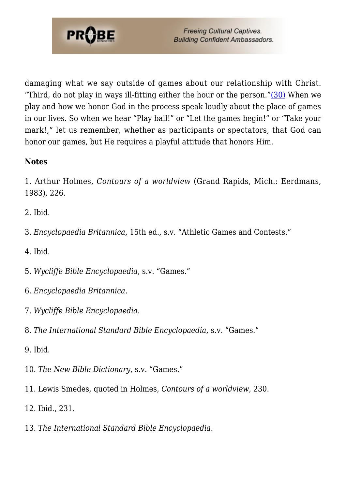

damaging what we say outside of games about our relationship with Christ. "Third, do not play in ways ill-fitting either the hour or the person." $(30)$  When we play and how we honor God in the process speak loudly about the place of games in our lives. So when we hear "Play ball!" or "Let the games begin!" or "Take your mark!," let us remember, whether as participants or spectators, that God can honor our games, but He requires a playful attitude that honors Him.

#### **Notes**

<span id="page-8-0"></span>1. Arthur Holmes, *Contours of a worldview* (Grand Rapids, Mich.: Eerdmans, 1983), 226.

<span id="page-8-1"></span>2. Ibid.

<span id="page-8-2"></span>3. *Encyclopaedia Britannica*, 15th ed., s.v. "Athletic Games and Contests."

<span id="page-8-3"></span>4. Ibid.

<span id="page-8-4"></span>5. *Wycliffe Bible Encyclopaedia*, s.v. "Games."

- <span id="page-8-5"></span>6. *Encyclopaedia Britannica*.
- <span id="page-8-6"></span>7. *Wycliffe Bible Encyclopaedia*.
- <span id="page-8-7"></span>8. *The International Standard Bible Encyclopaedia*, s.v. "Games."

9. Ibid.

- <span id="page-8-8"></span>10. *The New Bible Dictionary*, s.v. "Games."
- <span id="page-8-9"></span>11. Lewis Smedes, quoted in Holmes, *Contours of a worldview*, 230.
- 12. Ibid., 231.
- <span id="page-8-11"></span><span id="page-8-10"></span>13. *The International Standard Bible Encyclopaedia*.